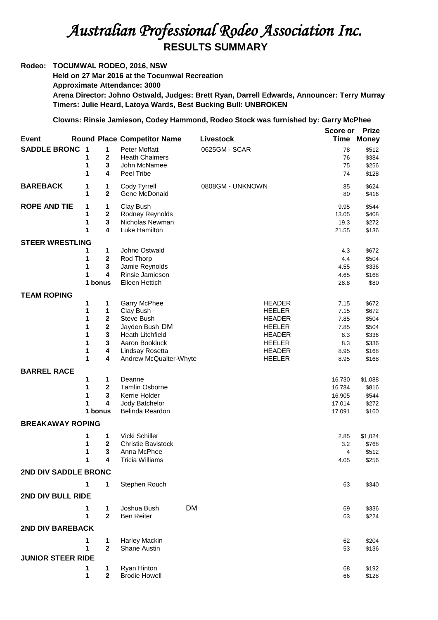## *Australian Professional Rodeo Association Inc.*  **RESULTS SUMMARY**

## **Rodeo: TOCUMWAL RODEO, 2016, NSW Held on 27 Mar 2016 at the Tocumwal Recreation Approximate Attendance: 3000 Arena Director: Johno Ostwald, Judges: Brett Ryan, Darrell Edwards, Announcer: Terry Murray Timers: Julie Heard, Latoya Wards, Best Bucking Bull: UNBROKEN**

## **Clowns: Rinsie Jamieson, Codey Hammond, Rodeo Stock was furnished by: Garry McPhee**

|                          |                         |                                        |                                      |                  | Score or     | <b>Prize</b>   |
|--------------------------|-------------------------|----------------------------------------|--------------------------------------|------------------|--------------|----------------|
| Event                    |                         |                                        | <b>Round Place Competitor Name</b>   | Livestock        | Time         | <b>Money</b>   |
| <b>SADDLE BRONC</b>      | $\overline{\mathbf{1}}$ | 1                                      | <b>Peter Moffatt</b>                 | 0625GM - SCAR    | 78           | \$512          |
|                          | 1                       | $\mathbf 2$                            | <b>Heath Chalmers</b>                |                  | 76           | \$384          |
|                          | 1                       | 3                                      | John McNamee                         |                  | 75           | \$256          |
|                          | 1                       | 4                                      | Peel Tribe                           |                  | 74           | \$128          |
| <b>BAREBACK</b>          | 1                       | 1                                      | Cody Tyrrell                         | 0808GM - UNKNOWN | 85           | \$624          |
|                          | 1                       | $\mathbf 2$                            | Gene McDonald                        |                  | 80           | \$416          |
| <b>ROPE AND TIE</b>      | 1                       | 1                                      | Clay Bush                            |                  | 9.95         | \$544          |
|                          | 1                       | $\mathbf{2}$                           | Rodney Reynolds                      |                  | 13.05        | \$408          |
|                          | 1                       | $\mathbf 3$                            | Nicholas Newman                      |                  | 19.3         | \$272          |
|                          | 1                       | 4                                      | Luke Hamilton                        |                  | 21.55        | \$136          |
| <b>STEER WRESTLING</b>   |                         |                                        |                                      |                  |              |                |
|                          | 1                       | 1                                      | Johno Ostwald                        |                  | 4.3          | \$672          |
|                          | 1                       | $\bf 2$                                | Rod Thorp                            |                  | 4.4          | \$504          |
|                          | 1<br>1                  | $\mathbf 3$<br>$\overline{\mathbf{4}}$ | Jamie Reynolds<br>Rinsie Jamieson    |                  | 4.55<br>4.65 | \$336<br>\$168 |
|                          |                         | 1 bonus                                | Eileen Hettich                       |                  | 28.8         | \$80           |
|                          |                         |                                        |                                      |                  |              |                |
| <b>TEAM ROPING</b>       | 1                       | 1                                      | <b>Garry McPhee</b>                  | <b>HEADER</b>    | 7.15         | \$672          |
|                          | 1                       | 1                                      | Clay Bush                            | <b>HEELER</b>    | 7.15         | \$672          |
|                          | 1                       | $\mathbf{2}$                           | Steve Bush                           | <b>HEADER</b>    | 7.85         | \$504          |
|                          | 1                       | $\bf 2$                                | Jayden Bush DM                       | <b>HEELER</b>    | 7.85         | \$504          |
|                          | 1                       | $\mathbf{3}$                           | <b>Heath Litchfield</b>              | <b>HEADER</b>    | 8.3          | \$336          |
|                          | 1                       | 3                                      | Aaron Bookluck                       | <b>HEELER</b>    | 8.3          | \$336          |
|                          | 1                       | 4                                      | Lindsay Rosetta                      | <b>HEADER</b>    | 8.95         | \$168          |
|                          | 1                       | 4                                      | Andrew McQualter-Whyte               | <b>HEELER</b>    | 8.95         | \$168          |
| <b>BARREL RACE</b>       |                         |                                        |                                      |                  |              |                |
|                          | 1                       | 1                                      | Deanne                               |                  | 16.730       | \$1,088        |
|                          | 1                       | $\mathbf 2$                            | <b>Tamlin Osborne</b>                |                  | 16.784       | \$816          |
|                          | 1                       | 3                                      | Kerrie Holder                        |                  | 16.905       | \$544          |
|                          | 1                       | 4<br>1 bonus                           | Jody Batchelor<br>Belinda Reardon    |                  | 17.014       | \$272          |
|                          |                         |                                        |                                      |                  | 17.091       | \$160          |
| <b>BREAKAWAY ROPING</b>  |                         |                                        |                                      |                  |              |                |
|                          | 1                       | 1                                      | Vicki Schiller                       |                  | 2.85         | \$1,024        |
|                          | 1                       | $\overline{2}$                         | <b>Christie Bavistock</b>            |                  | 3.2          | \$768          |
|                          | 1                       | 3                                      | Anna McPhee                          |                  | 4            | \$512          |
|                          | 1                       | 4                                      | Tricia Williams                      |                  | 4.05         | \$256          |
| 2ND DIV SADDLE BRONC     |                         |                                        |                                      |                  |              |                |
|                          | 1                       | 1                                      | Stephen Rouch                        |                  | 63           | \$340          |
| 2ND DIV BULL RIDE        |                         |                                        |                                      |                  |              |                |
|                          | 1                       | 1                                      | Joshua Bush                          | <b>DM</b>        | 69           | \$336          |
|                          | 1                       | $\mathbf{2}$                           | <b>Ben Reiter</b>                    |                  | 63           | \$224          |
| 2ND DIV BAREBACK         |                         |                                        |                                      |                  |              |                |
|                          |                         |                                        |                                      |                  |              |                |
|                          | 1<br>1                  | 1<br>$\mathbf{2}$                      | <b>Harley Mackin</b><br>Shane Austin |                  | 62<br>53     | \$204<br>\$136 |
| <b>JUNIOR STEER RIDE</b> |                         |                                        |                                      |                  |              |                |
|                          |                         |                                        |                                      |                  |              |                |
|                          | 1<br>1                  | 1<br>$\overline{2}$                    | Ryan Hinton<br><b>Brodie Howell</b>  |                  | 68<br>66     | \$192<br>\$128 |